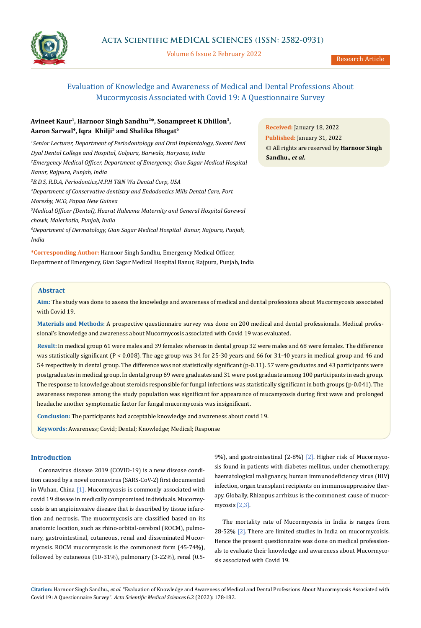

Volume 6 Issue 2 February 2022

# Evaluation of Knowledge and Awareness of Medical and Dental Professions About Mucormycosis Associated with Covid 19: A Questionnaire Survey

## **Avineet Kaur1, Harnoor Singh Sandhu2\*, Sonampreet K Dhillon3,**  Aaron Sarwal<sup>4</sup>, Iqra Khilji<sup>5</sup> and Shalika Bhagat<sup>6</sup>

*1 Senior Lecturer, Department of Periodontology and Oral Implantology, Swami Devi Dyal Dental College and Hospital, Golpura, Barwala, Haryana, India 2 Emergency Medical Officer, Department of Emergency, Gian Sagar Medical Hospital Banur, Rajpura, Punjab, India 3 B.D.S, R.D.A, Periodontics,M.P.H T&N Wu Dental Corp, USA 4 Department of Conservative dentistry and Endodontics Mills Dental Care, Port Moresby, NCD, Papua New Guinea 5 Medical Officer (Dental), Hazrat Haleema Maternity and General Hospital Garewal chowk, Malerkotla, Punjab, India 6 Department of Dermatology, Gian Sagar Medical Hospital Banur, Rajpura, Punjab, India*

**\*Corresponding Author:** Harnoor Singh Sandhu, Emergency Medical Officer, Department of Emergency, Gian Sagar Medical Hospital Banur, Rajpura, Punjab, India

**Received:** January 18, 2022 **Published:** January 31, 2022 © All rights are reserved by **Harnoor Singh Sandhu.,** *et al***.**

## **Abstract**

**Aim:** The study was done to assess the knowledge and awareness of medical and dental professions about Mucormycosis associated with Covid 19.

**Materials and Methods:** A prospective questionnaire survey was done on 200 medical and dental professionals. Medical professional's knowledge and awareness about Mucormycosis associated with Covid 19 was evaluated.

**Result:** In medical group 61 were males and 39 females whereas in dental group 32 were males and 68 were females. The difference was statistically significant (P < 0.008). The age group was 34 for 25-30 years and 66 for 31-40 years in medical group and 46 and 54 respectively in dental group. The difference was not statistically significant (p-0.11). 57 were graduates and 43 participants were postgraduates in medical group. In dental group 69 were graduates and 31 were post graduate among 100 participants in each group. The response to knowledge about steroids responsible for fungal infections was statistically significant in both groups (p-0.041). The awareness response among the study population was significant for appearance of mucamycosis during first wave and prolonged headache another symptomatic factor for fungal mucormycosis was insignificant.

**Conclusion:** The participants had acceptable knowledge and awareness about covid 19.

**Keywords:** Awareness; Covid; Dental; Knowledge; Medical; Response

## **Introduction**

Coronavirus disease 2019 (COVID-19) is a new disease condition caused by a novel coronavirus (SARS-CoV-2) first documented in Wuhan, China [1]. Mucormycosis is commonly associated with covid 19 disease in medically compromised individuals. Mucormycosis is an angioinvasive disease that is described by tissue infarction and necrosis. The mucormycosis are classified based on its anatomic location, such as rhino-orbital-cerebral (ROCM), pulmonary, gastrointestinal, cutaneous, renal and disseminated Mucormycosis. ROCM mucormycosis is the commonest form (45-74%), followed by cutaneous (10-31%), pulmonary (3-22%), renal (0.5-

9%), and gastrointestinal (2-8%) [2]. Higher risk of Mucormycosis found in patients with diabetes mellitus, under chemotherapy, haematological malignancy, human immunodeficiency virus (HIV) infection, organ transplant recipients on immunosuppressive therapy. Globally, Rhizopus arrhizus is the commonest cause of mucormycosis [2,3].

The mortality rate of Mucormycosis in India is ranges from 28-52% [2]. There are limited studies in India on mucormycoisis. Hence the present questionnaire was done on medical professionals to evaluate their knowledge and awareness about Mucormycosis associated with Covid 19.

**Citation:** Harnoor Singh Sandhu*., et al.* "Evaluation of Knowledge and Awareness of Medical and Dental Professions About Mucormycosis Associated with Covid 19: A Questionnaire Survey". *Acta Scientific Medical Sciences* 6.2 (2022): 178-182.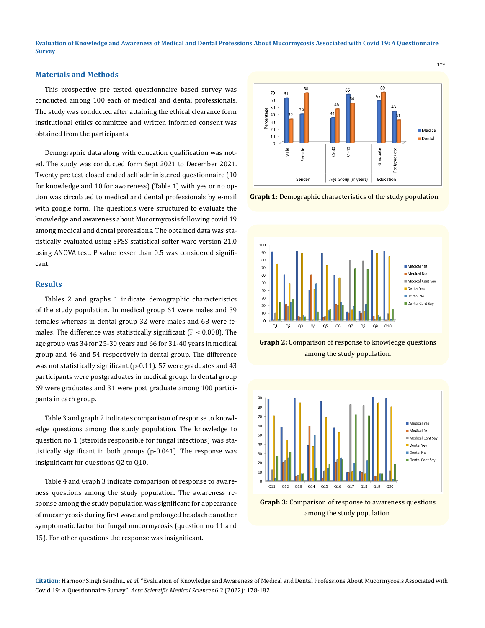**Evaluation of Knowledge and Awareness of Medical and Dental Professions About Mucormycosis Associated with Covid 19: A Questionnaire Survey**

## **Materials and Methods**

This prospective pre tested questionnaire based survey was conducted among 100 each of medical and dental professionals. The study was conducted after attaining the ethical clearance form institutional ethics committee and written informed consent was obtained from the participants.

Demographic data along with education qualification was noted. The study was conducted form Sept 2021 to December 2021. Twenty pre test closed ended self administered questionnaire (10 for knowledge and 10 for awareness) (Table 1) with yes or no option was circulated to medical and dental professionals by e-mail with google form. The questions were structured to evaluate the knowledge and awareness about Mucormycosis following covid 19 among medical and dental professions. The obtained data was statistically evaluated using SPSS statistical softer ware version 21.0 using ANOVA test. P value lesser than 0.5 was considered significant.

#### **Results**

Tables 2 and graphs 1 indicate demographic characteristics of the study population. In medical group 61 were males and 39 females whereas in dental group 32 were males and 68 were females. The difference was statistically significant (P < 0.008). The age group was 34 for 25-30 years and 66 for 31-40 years in medical group and 46 and 54 respectively in dental group. The difference was not statistically significant (p-0.11). 57 were graduates and 43 participants were postgraduates in medical group. In dental group 69 were graduates and 31 were post graduate among 100 participants in each group.

Table 3 and graph 2 indicates comparison of response to knowledge questions among the study population. The knowledge to question no 1 (steroids responsible for fungal infections) was statistically significant in both groups (p-0.041). The response was insignificant for questions Q2 to Q10.

Table 4 and Graph 3 indicate comparison of response to awareness questions among the study population. The awareness response among the study population was significant for appearance of mucamycosis during first wave and prolonged headache another symptomatic factor for fungal mucormycosis (question no 11 and 15). For other questions the response was insignificant.



**Graph 1:** Demographic characteristics of the study population.



**Graph 2:** Comparison of response to knowledge questions among the study population.



**Graph 3:** Comparison of response to awareness questions among the study population.

**Citation:** Harnoor Singh Sandhu*., et al.* "Evaluation of Knowledge and Awareness of Medical and Dental Professions About Mucormycosis Associated with Covid 19: A Questionnaire Survey". *Acta Scientific Medical Sciences* 6.2 (2022): 178-182.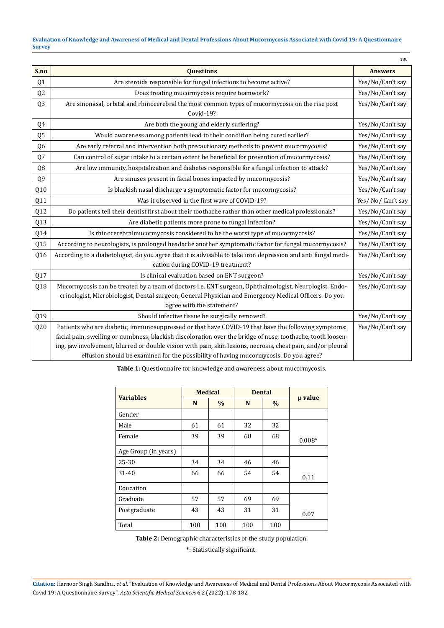**Evaluation of Knowledge and Awareness of Medical and Dental Professions About Mucormycosis Associated with Covid 19: A Questionnaire Survey**

|                |                                                                                                               | 180              |
|----------------|---------------------------------------------------------------------------------------------------------------|------------------|
| S.no           | <b>Questions</b>                                                                                              | <b>Answers</b>   |
| Q1             | Are steroids responsible for fungal infections to become active?                                              | Yes/No/Can't say |
| Q <sub>2</sub> | Does treating mucormycosis require teamwork?                                                                  | Yes/No/Can't say |
| Q <sub>3</sub> | Are sinonasal, orbital and rhinocerebral the most common types of mucormycosis on the rise post<br>Covid-19?  | Yes/No/Can't say |
|                |                                                                                                               |                  |
| Q4             | Are both the young and elderly suffering?                                                                     | Yes/No/Can't say |
| Q <sub>5</sub> | Would awareness among patients lead to their condition being cured earlier?                                   | Yes/No/Can't say |
| Q <sub>6</sub> | Are early referral and intervention both precautionary methods to prevent mucormycosis?                       | Yes/No/Can't say |
| Q7             | Can control of sugar intake to a certain extent be beneficial for prevention of mucormycosis?                 | Yes/No/Can't say |
| Q <sub>8</sub> | Are low immunity, hospitalization and diabetes responsible for a fungal infection to attack?                  | Yes/No/Can't say |
| Q <sub>9</sub> | Are sinuses present in facial bones impacted by mucormycosis?                                                 | Yes/No/Can't say |
| Q10            | Is blackish nasal discharge a symptomatic factor for mucormycosis?                                            | Yes/No/Can't say |
| Q11            | Was it observed in the first wave of COVID-19?                                                                | Yes/No/Can't say |
| Q12            | Do patients tell their dentist first about their toothache rather than other medical professionals?           | Yes/No/Can't say |
| Q13            | Are diabetic patients more prone to fungal infection?                                                         | Yes/No/Can't say |
| Q14            | Is rhinocerebralmucormycosis considered to be the worst type of mucormycosis?                                 | Yes/No/Can't say |
| Q15            | According to neurologists, is prolonged headache another symptomatic factor for fungal mucormycosis?          | Yes/No/Can't say |
| Q16            | According to a diabetologist, do you agree that it is advisable to take iron depression and anti fungal medi- | Yes/No/Can't say |
|                | cation during COVID-19 treatment?                                                                             |                  |
| Q17            | Is clinical evaluation based on ENT surgeon?                                                                  | Yes/No/Can't say |
| Q18            | Mucormycosis can be treated by a team of doctors i.e. ENT surgeon, Ophthalmologist, Neurologist, Endo-        | Yes/No/Can't say |
|                | crinologist, Microbiologist, Dental surgeon, General Physician and Emergency Medical Officers. Do you         |                  |
|                | agree with the statement?                                                                                     |                  |
| Q19            | Should infective tissue be surgically removed?                                                                | Yes/No/Can't say |
| Q20            | Patients who are diabetic, immunosuppressed or that have COVID-19 that have the following symptoms:           | Yes/No/Can't say |
|                | facial pain, swelling or numbness, blackish discoloration over the bridge of nose, toothache, tooth loosen-   |                  |
|                | ing, jaw involvement, blurred or double vision with pain, skin lesions, necrosis, chest pain, and/or pleural  |                  |
|                | effusion should be examined for the possibility of having mucormycosis. Do you agree?                         |                  |

**Table 1:** Questionnaire for knowledge and awareness about mucormycosis.

| <b>Variables</b>     | <b>Medical</b> |      | <b>Dental</b> |      |          |  |
|----------------------|----------------|------|---------------|------|----------|--|
|                      | N              | $\%$ | N             | $\%$ | p value  |  |
| Gender               |                |      |               |      |          |  |
| Male                 | 61             | 61   | 32            | 32   |          |  |
| Female               | 39             | 39   | 68            | 68   | $0.008*$ |  |
| Age Group (in years) |                |      |               |      |          |  |
| 25-30                | 34             | 34   | 46            | 46   |          |  |
| 31-40                | 66             | 66   | 54            | 54   | 0.11     |  |
| Education            |                |      |               |      |          |  |
| Graduate             | 57             | 57   | 69            | 69   |          |  |
| Postgraduate         | 43             | 43   | 31            | 31   | 0.07     |  |
| Total                | 100            | 100  | 100           | 100  |          |  |

**Table 2:** Demographic characteristics of the study population.

\*: Statistically significant.

**Citation:** Harnoor Singh Sandhu*., et al.* "Evaluation of Knowledge and Awareness of Medical and Dental Professions About Mucormycosis Associated with Covid 19: A Questionnaire Survey". *Acta Scientific Medical Sciences* 6.2 (2022): 178-182.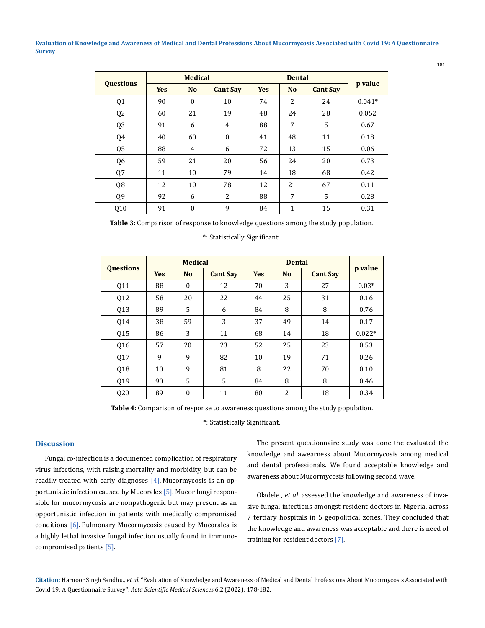#### **Evaluation of Knowledge and Awareness of Medical and Dental Professions About Mucormycosis Associated with Covid 19: A Questionnaire Survey**

|                  |            | <b>Medical</b> |                 |            |           |                 |          |  |
|------------------|------------|----------------|-----------------|------------|-----------|-----------------|----------|--|
| <b>Questions</b> | <b>Yes</b> | <b>No</b>      | <b>Cant Say</b> | <b>Yes</b> | <b>No</b> | <b>Cant Say</b> | p value  |  |
| Q1               | 90         | $\theta$       | 10              | 74         | 2         | 24              | $0.041*$ |  |
| Q <sub>2</sub>   | 60         | 21             | 19              | 48         | 24        | 28              | 0.052    |  |
| Q <sub>3</sub>   | 91         | 6              | 4               | 88         | 7         | 5               | 0.67     |  |
| Q4               | 40         | 60             | $\mathbf{0}$    | 41         | 48        | 11              | 0.18     |  |
| Q <sub>5</sub>   | 88         | 4              | 6               | 72         | 13        | 15              | 0.06     |  |
| Q <sub>6</sub>   | 59         | 21             | 20              | 56         | 24        | 20              | 0.73     |  |
| Q7               | 11         | 10             | 79              | 14         | 18        | 68              | 0.42     |  |
| Q <sub>8</sub>   | 12         | 10             | 78              | 12         | 21        | 67              | 0.11     |  |
| Q <sub>9</sub>   | 92         | 6              | $\overline{2}$  | 88         | 7         | 5               | 0.28     |  |
| Q10              | 91         | $\theta$       | 9               | 84         | 1         | 15              | 0.31     |  |

**Table 3:** Comparison of response to knowledge questions among the study population.

\*: Statistically Significant.

|                  | <b>Medical</b> |                |                 |            |           |                 |          |  |
|------------------|----------------|----------------|-----------------|------------|-----------|-----------------|----------|--|
| <b>Questions</b> | <b>Yes</b>     | N <sub>o</sub> | <b>Cant Say</b> | <b>Yes</b> | <b>No</b> | <b>Cant Say</b> | p value  |  |
| 011              | 88             | $\theta$       | 12              | 70         | 3         | 27              | $0.03*$  |  |
| Q12              | 58             | 20             | 22              | 44         | 25        | 31              | 0.16     |  |
| 013              | 89             | 5              | 6               | 84         | 8         | 8               | 0.76     |  |
| 014              | 38             | 59             | 3               | 37         | 49        | 14              | 0.17     |  |
| Q15              | 86             | 3              | 11              | 68         | 14        | 18              | $0.022*$ |  |
| Q16              | 57             | 20             | 23              | 52         | 25        | 23              | 0.53     |  |
| Q17              | 9              | 9              | 82              | 10         | 19        | 71              | 0.26     |  |
| 018              | 10             | 9              | 81              | 8          | 22        | 70              | 0.10     |  |
| 019              | 90             | 5              | 5               | 84         | 8         | 8               | 0.46     |  |
| Q20              | 89             | $\mathbf{0}$   | 11              | 80         | 2         | 18              | 0.34     |  |

**Table 4:** Comparison of response to awareness questions among the study population.

\*: Statistically Significant.

## **Discussion**

Fungal co-infection is a documented complication of respiratory virus infections, with raising mortality and morbidity, but can be readily treated with early diagnoses  $[4]$ . Mucormycosis is an opportunistic infection caused by Mucorales [5]. Mucor fungi responsible for mucormycosis are nonpathogenic but may present as an opportunistic infection in patients with medically compromised conditions [6]. Pulmonary Mucormycosis caused by Mucorales is a highly lethal invasive fungal infection usually found in immunocompromised patients [5].

The present questionnaire study was done the evaluated the knowledge and awearness about Mucormycosis among medical and dental professionals. We found acceptable knowledge and awareness about Mucormycosis following second wave.

[Oladele.](https://www.ncbi.nlm.nih.gov/pubmed/?term=Oladele%20R%5BAuthor%5D&cauthor=true&cauthor_uid=33117491), *et al*. assessed the knowledge and awareness of invasive fungal infections amongst resident doctors in Nigeria, across 7 tertiary hospitals in 5 geopolitical zones. They concluded that the knowledge and awareness was acceptable and there is need of training for resident doctors [7].

**Citation:** Harnoor Singh Sandhu*., et al.* "Evaluation of Knowledge and Awareness of Medical and Dental Professions About Mucormycosis Associated with Covid 19: A Questionnaire Survey". *Acta Scientific Medical Sciences* 6.2 (2022): 178-182.

181